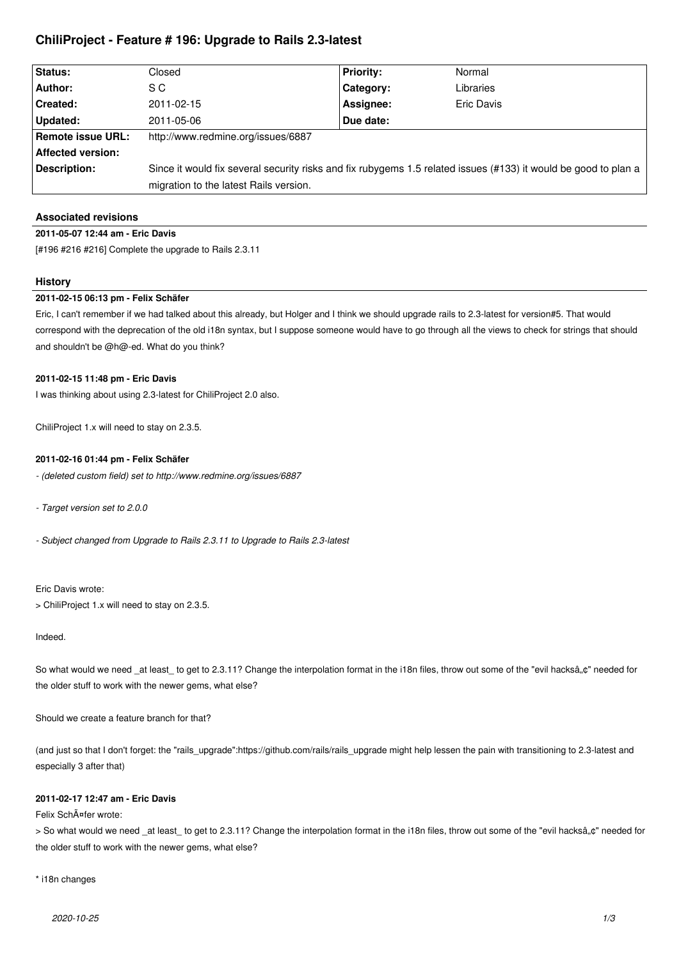# **ChiliProject - Feature # 196: Upgrade to Rails 2.3-latest**

| Status:                  | Closed                                                                                                          | <b>Priority:</b> | Normal     |
|--------------------------|-----------------------------------------------------------------------------------------------------------------|------------------|------------|
| Author:                  | S C                                                                                                             | Category:        | Libraries  |
| <b>Created:</b>          | 2011-02-15                                                                                                      | Assignee:        | Eric Davis |
| Updated:                 | 2011-05-06                                                                                                      | Due date:        |            |
| Remote issue URL:        | http://www.redmine.org/issues/6887                                                                              |                  |            |
| <b>Affected version:</b> |                                                                                                                 |                  |            |
| Description:             | Since it would fix several security risks and fix rubygems 1.5 related issues (#133) it would be good to plan a |                  |            |
|                          | migration to the latest Rails version.                                                                          |                  |            |

## **Associated revisions**

## **2011-05-07 12:44 am - Eric Davis**

[#196 #216 #216] Complete the upgrade to Rails 2.3.11

### **History**

## **2011-02-15 06:13 pm - Felix Schäfer**

Eric, I can't remember if we had talked about this already, but Holger and I think we should upgrade rails to 2.3-latest for version#5. That would correspond with the deprecation of the old i18n syntax, but I suppose someone would have to go through all the views to check for strings that should and shouldn't be @h@-ed. What do you think?

### **2011-02-15 11:48 pm - Eric Davis**

I was thinking about using 2.3-latest for ChiliProject 2.0 also.

ChiliProject 1.x will need to stay on 2.3.5.

#### **2011-02-16 01:44 pm - Felix Schäfer**

*- (deleted custom field) set to http://www.redmine.org/issues/6887*

*- Target version set to 2.0.0*

*- Subject changed from Upgrade to Rails 2.3.11 to Upgrade to Rails 2.3-latest*

Eric Davis wrote:

> ChiliProject 1.x will need to stay on 2.3.5.

## Indeed.

So what would we need \_at least\_to get to 2.3.11? Change the interpolation format in the i18n files, throw out some of the "evil hacksâ"¢" needed for the older stuff to work with the newer gems, what else?

Should we create a feature branch for that?

(and just so that I don't forget: the "rails\_upgrade":https://github.com/rails/rails\_upgrade might help lessen the pain with transitioning to 2.3-latest and especially 3 after that)

### **2011-02-17 12:47 am - Eric Davis**

Felix SchĤfer wrote:

> So what would we need at least to get to 2.3.11? Change the interpolation format in the i18n files, throw out some of the "evil hacksâ..¢" needed for the older stuff to work with the newer gems, what else?

### \* i18n changes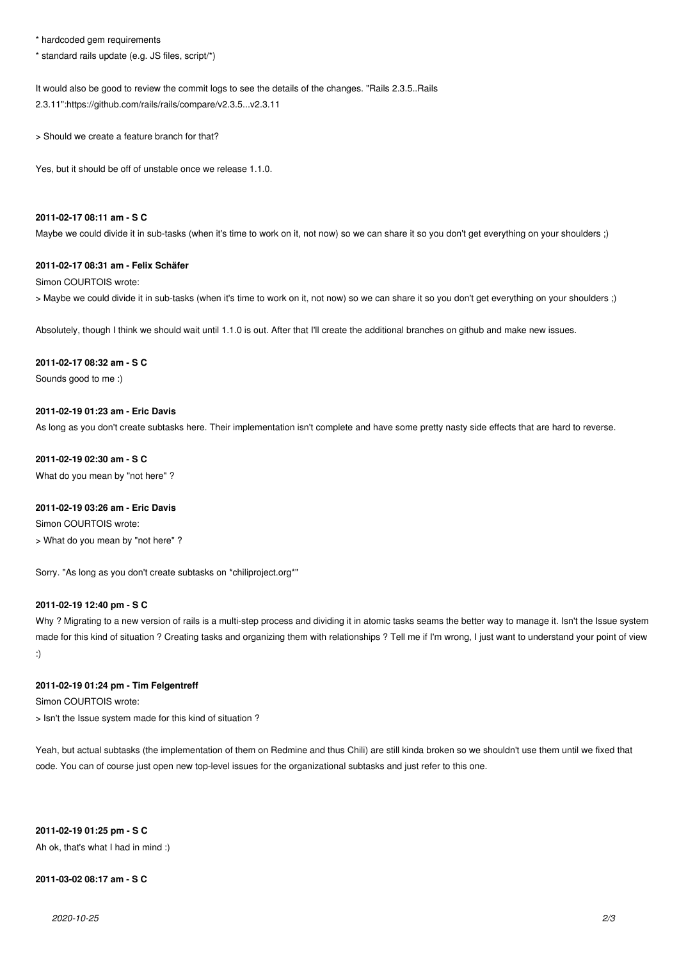\* hardcoded gem requirements

\* standard rails update (e.g. JS files, script/\*)

It would also be good to review the commit logs to see the details of the changes. "Rails 2.3.5..Rails 2.3.11":https://github.com/rails/rails/compare/v2.3.5...v2.3.11

> Should we create a feature branch for that?

Yes, but it should be off of unstable once we release 1.1.0.

## **2011-02-17 08:11 am - S C**

Maybe we could divide it in sub-tasks (when it's time to work on it, not now) so we can share it so you don't get everything on your shoulders :)

#### **2011-02-17 08:31 am - Felix Schäfer**

Simon COURTOIS wrote: > Maybe we could divide it in sub-tasks (when it's time to work on it, not now) so we can share it so you don't get everything on your shoulders ;)

Absolutely, though I think we should wait until 1.1.0 is out. After that I'll create the additional branches on github and make new issues.

#### **2011-02-17 08:32 am - S C**

Sounds good to me :)

### **2011-02-19 01:23 am - Eric Davis**

As long as you don't create subtasks here. Their implementation isn't complete and have some pretty nasty side effects that are hard to reverse.

## **2011-02-19 02:30 am - S C**

What do you mean by "not here" ?

### **2011-02-19 03:26 am - Eric Davis**

Simon COURTOIS wrote: > What do you mean by "not here" ?

Sorry. "As long as you don't create subtasks on \*chiliproject.org\*"

## **2011-02-19 12:40 pm - S C**

Why ? Migrating to a new version of rails is a multi-step process and dividing it in atomic tasks seams the better way to manage it. Isn't the Issue system made for this kind of situation ? Creating tasks and organizing them with relationships ? Tell me if I'm wrong, I just want to understand your point of view :)

### **2011-02-19 01:24 pm - Tim Felgentreff**

Simon COURTOIS wrote:

> Isn't the Issue system made for this kind of situation ?

Yeah, but actual subtasks (the implementation of them on Redmine and thus Chili) are still kinda broken so we shouldn't use them until we fixed that code. You can of course just open new top-level issues for the organizational subtasks and just refer to this one.

**2011-02-19 01:25 pm - S C**

Ah ok, that's what I had in mind :)

## **2011-03-02 08:17 am - S C**